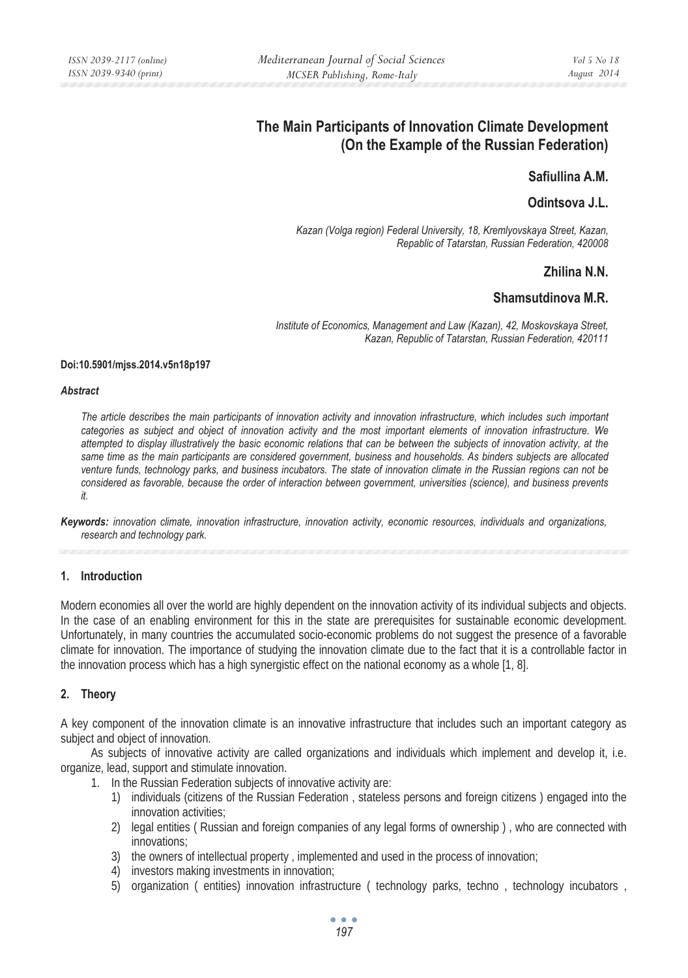# **The Main Participants of Innovation Climate Development (On the Example of the Russian Federation)**

# **Safiullina A.M.**

### **Odintsova J.L.**

*Kazan (Volga region) Federal University, 18, Kremlyovskaya Street, Kazan, Repablic of Tatarstan, Russian Federation, 420008* 

# **Zhilina N.N.**

# **Shamsutdinova M.R.**

*Institute of Economics, Management and Law (Kazan), 42, Moskovskaya Street, Kazan, Republic of Tatarstan, Russian Federation, 420111* 

#### **Doi:10.5901/mjss.2014.v5n18p197**

#### *Abstract*

*The article describes the main participants of innovation activity and innovation infrastructure, which includes such important categories as subject and object of innovation activity and the most important elements of innovation infrastructure. We attempted to display illustratively the basic economic relations that can be between the subjects of innovation activity, at the same time as the main participants are considered government, business and households. As binders subjects are allocated venture funds, technology parks, and business incubators. The state of innovation climate in the Russian regions can not be considered as favorable, because the order of interaction between government, universities (science), and business prevents it.* 

### **1. Introduction**

Modern economies all over the world are highly dependent on the innovation activity of its individual subjects and objects. In the case of an enabling environment for this in the state are prerequisites for sustainable economic development. Unfortunately, in many countries the accumulated socio-economic problems do not suggest the presence of a favorable climate for innovation. The importance of studying the innovation climate due to the fact that it is a controllable factor in the innovation process which has a high synergistic effect on the national economy as a whole [1, 8].

### **2. Theory**

A key component of the innovation climate is an innovative infrastructure that includes such an important category as subject and object of innovation.

As subjects of innovative activity are called organizations and individuals which implement and develop it, i.e. organize, lead, support and stimulate innovation.

- 1. In the Russian Federation subjects of innovative activity are:
	- 1) individuals (citizens of the Russian Federation , stateless persons and foreign citizens ) engaged into the innovation activities;
	- 2) legal entities ( Russian and foreign companies of any legal forms of ownership ) , who are connected with innovations;
	- 3) the owners of intellectual property , implemented and used in the process of innovation;
	- 4) investors making investments in innovation;
	- 5) organization ( entities) innovation infrastructure ( technology parks, techno , technology incubators ,

*Keywords: innovation climate, innovation infrastructure, innovation activity, economic resources, individuals and organizations, research and technology park.*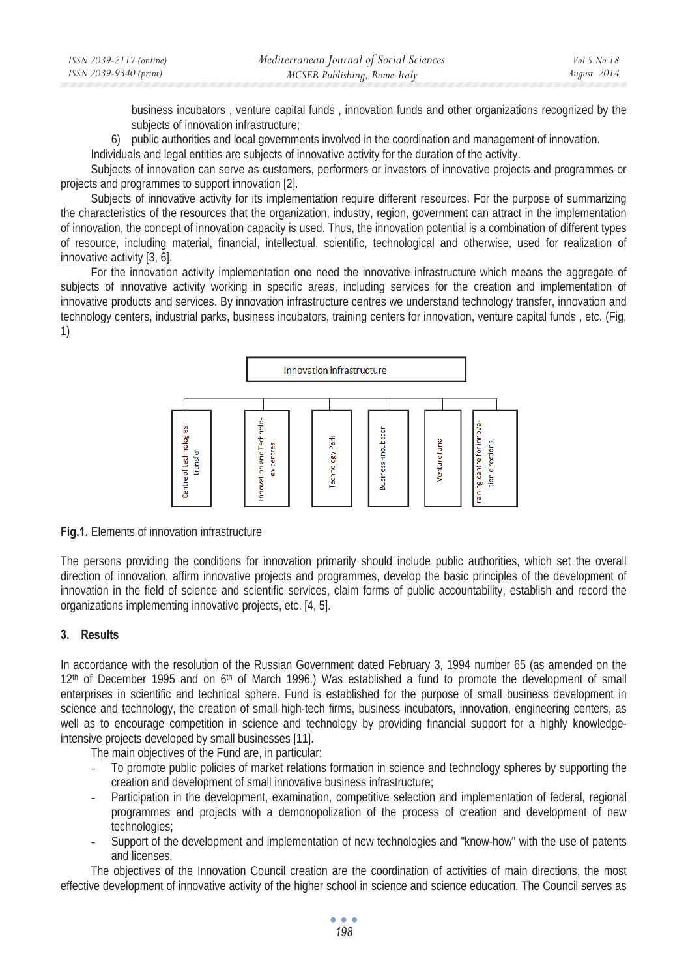| ISSN 2039-2117 (online) | Mediterranean Journal of Social Sciences | <i>Vol</i> 5 No 18 |
|-------------------------|------------------------------------------|--------------------|
| ISSN 2039-9340 (print)  | MCSER Publishing, Rome-Italy             | August 2014        |

business incubators , venture capital funds , innovation funds and other organizations recognized by the subjects of innovation infrastructure;

6) public authorities and local governments involved in the coordination and management of innovation.

Individuals and legal entities are subjects of innovative activity for the duration of the activity.

Subjects of innovation can serve as customers, performers or investors of innovative projects and programmes or projects and programmes to support innovation [2].

Subjects of innovative activity for its implementation require different resources. For the purpose of summarizing the characteristics of the resources that the organization, industry, region, government can attract in the implementation of innovation, the concept of innovation capacity is used. Thus, the innovation potential is a combination of different types of resource, including material, financial, intellectual, scientific, technological and otherwise, used for realization of innovative activity [3, 6].

For the innovation activity implementation one need the innovative infrastructure which means the aggregate of subjects of innovative activity working in specific areas, including services for the creation and implementation of innovative products and services. By innovation infrastructure centres we understand technology transfer, innovation and technology centers, industrial parks, business incubators, training centers for innovation, venture capital funds , etc. (Fig. 1)



**Fig.1.** Elements of innovation infrastructure

The persons providing the conditions for innovation primarily should include public authorities, which set the overall direction of innovation, affirm innovative projects and programmes, develop the basic principles of the development of innovation in the field of science and scientific services, claim forms of public accountability, establish and record the organizations implementing innovative projects, etc. [4, 5].

#### **3. Results**

In accordance with the resolution of the Russian Government dated February 3, 1994 number 65 (as amended on the  $12<sup>th</sup>$  of December 1995 and on 6<sup>th</sup> of March 1996.) Was established a fund to promote the development of small enterprises in scientific and technical sphere. Fund is established for the purpose of small business development in science and technology, the creation of small high-tech firms, business incubators, innovation, engineering centers, as well as to encourage competition in science and technology by providing financial support for a highly knowledgeintensive projects developed by small businesses [11].

The main objectives of the Fund are, in particular:

- To promote public policies of market relations formation in science and technology spheres by supporting the creation and development of small innovative business infrastructure;
- Participation in the development, examination, competitive selection and implementation of federal, regional programmes and projects with a demonopolization of the process of creation and development of new technologies;
- Support of the development and implementation of new technologies and "know-how" with the use of patents and licenses.

The objectives of the Innovation Council creation are the coordination of activities of main directions, the most effective development of innovative activity of the higher school in science and science education. The Council serves as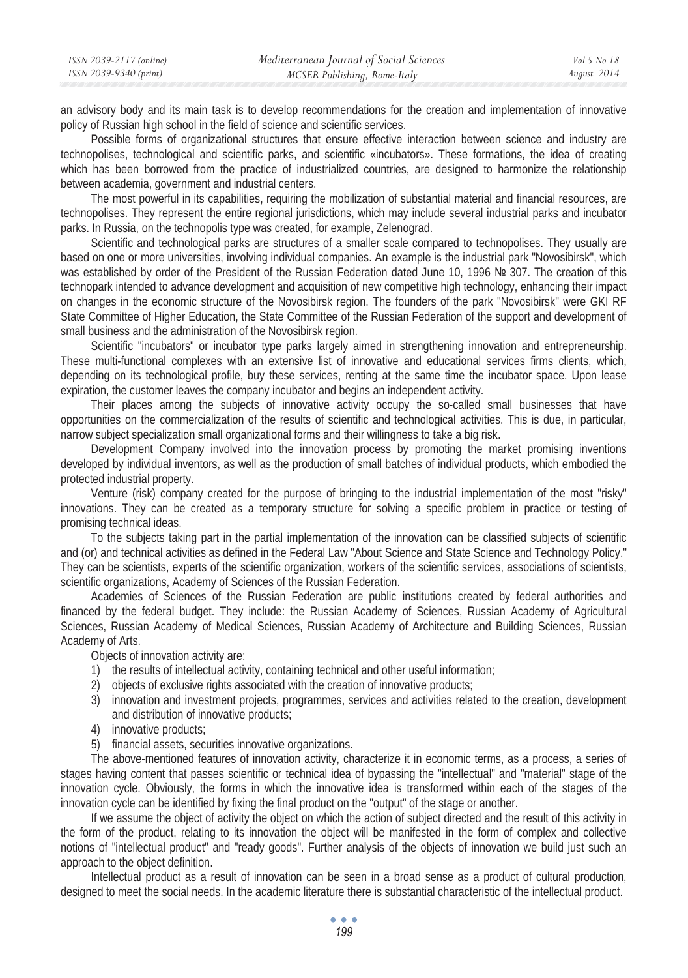| ISSN 2039-2117 (online) | Mediterranean Journal of Social Sciences | Vol 5 No 18 |
|-------------------------|------------------------------------------|-------------|
| ISSN 2039-9340 (print)  | MCSER Publishing, Rome-Italy             | August 2014 |

an advisory body and its main task is to develop recommendations for the creation and implementation of innovative policy of Russian high school in the field of science and scientific services.

Possible forms of organizational structures that ensure effective interaction between science and industry are technopolises, technological and scientific parks, and scientific «incubators». These formations, the idea of creating which has been borrowed from the practice of industrialized countries, are designed to harmonize the relationship between academia, government and industrial centers.

The most powerful in its capabilities, requiring the mobilization of substantial material and financial resources, are technopolises. They represent the entire regional jurisdictions, which may include several industrial parks and incubator parks. In Russia, on the technopolis type was created, for example, Zelenograd.

Scientific and technological parks are structures of a smaller scale compared to technopolises. They usually are based on one or more universities, involving individual companies. An example is the industrial park "Novosibirsk", which was established by order of the President of the Russian Federation dated June 10, 1996 № 307. The creation of this technopark intended to advance development and acquisition of new competitive high technology, enhancing their impact on changes in the economic structure of the Novosibirsk region. The founders of the park "Novosibirsk" were GKI RF State Committee of Higher Education, the State Committee of the Russian Federation of the support and development of small business and the administration of the Novosibirsk region.

Scientific "incubators" or incubator type parks largely aimed in strengthening innovation and entrepreneurship. These multi-functional complexes with an extensive list of innovative and educational services firms clients, which, depending on its technological profile, buy these services, renting at the same time the incubator space. Upon lease expiration, the customer leaves the company incubator and begins an independent activity.

Their places among the subjects of innovative activity occupy the so-called small businesses that have opportunities on the commercialization of the results of scientific and technological activities. This is due, in particular, narrow subject specialization small organizational forms and their willingness to take a big risk.

Development Company involved into the innovation process by promoting the market promising inventions developed by individual inventors, as well as the production of small batches of individual products, which embodied the protected industrial property.

Venture (risk) company created for the purpose of bringing to the industrial implementation of the most "risky" innovations. They can be created as a temporary structure for solving a specific problem in practice or testing of promising technical ideas.

To the subjects taking part in the partial implementation of the innovation can be classified subjects of scientific and (or) and technical activities as defined in the Federal Law "About Science and State Science and Technology Policy." They can be scientists, experts of the scientific organization, workers of the scientific services, associations of scientists, scientific organizations, Academy of Sciences of the Russian Federation.

Academies of Sciences of the Russian Federation are public institutions created by federal authorities and financed by the federal budget. They include: the Russian Academy of Sciences, Russian Academy of Agricultural Sciences, Russian Academy of Medical Sciences, Russian Academy of Architecture and Building Sciences, Russian Academy of Arts.

Objects of innovation activity are:

- 1) the results of intellectual activity, containing technical and other useful information;
- 2) objects of exclusive rights associated with the creation of innovative products;
- 3) innovation and investment projects, programmes, services and activities related to the creation, development and distribution of innovative products;
- 4) innovative products;
- 5) financial assets, securities innovative organizations.

The above-mentioned features of innovation activity, characterize it in economic terms, as a process, a series of stages having content that passes scientific or technical idea of bypassing the "intellectual" and "material" stage of the innovation cycle. Obviously, the forms in which the innovative idea is transformed within each of the stages of the innovation cycle can be identified by fixing the final product on the "output" of the stage or another.

If we assume the object of activity the object on which the action of subject directed and the result of this activity in the form of the product, relating to its innovation the object will be manifested in the form of complex and collective notions of "intellectual product" and "ready goods". Further analysis of the objects of innovation we build just such an approach to the object definition.

Intellectual product as a result of innovation can be seen in a broad sense as a product of cultural production, designed to meet the social needs. In the academic literature there is substantial characteristic of the intellectual product.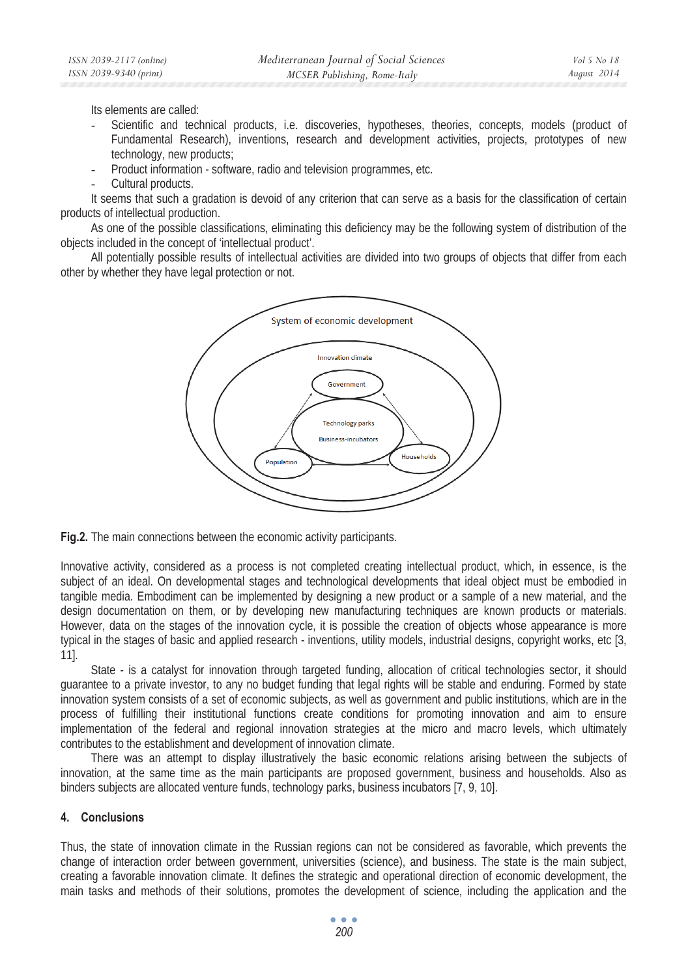Its elements are called:

- Scientific and technical products, i.e. discoveries, hypotheses, theories, concepts, models (product of Fundamental Research), inventions, research and development activities, projects, prototypes of new technology, new products;
- Product information software, radio and television programmes, etc.
- Cultural products.

It seems that such a gradation is devoid of any criterion that can serve as a basis for the classification of certain products of intellectual production.

As one of the possible classifications, eliminating this deficiency may be the following system of distribution of the objects included in the concept of 'intellectual product'.

All potentially possible results of intellectual activities are divided into two groups of objects that differ from each other by whether they have legal protection or not.



**Fig.2.** The main connections between the economic activity participants.

Innovative activity, considered as a process is not completed creating intellectual product, which, in essence, is the subject of an ideal. On developmental stages and technological developments that ideal object must be embodied in tangible media. Embodiment can be implemented by designing a new product or a sample of a new material, and the design documentation on them, or by developing new manufacturing techniques are known products or materials. However, data on the stages of the innovation cycle, it is possible the creation of objects whose appearance is more typical in the stages of basic and applied research - inventions, utility models, industrial designs, copyright works, etc [3, 11].

State - is a catalyst for innovation through targeted funding, allocation of critical technologies sector, it should guarantee to a private investor, to any no budget funding that legal rights will be stable and enduring. Formed by state innovation system consists of a set of economic subjects, as well as government and public institutions, which are in the process of fulfilling their institutional functions create conditions for promoting innovation and aim to ensure implementation of the federal and regional innovation strategies at the micro and macro levels, which ultimately contributes to the establishment and development of innovation climate.

There was an attempt to display illustratively the basic economic relations arising between the subjects of innovation, at the same time as the main participants are proposed government, business and households. Also as binders subjects are allocated venture funds, technology parks, business incubators [7, 9, 10].

### **4. Conclusions**

Thus, the state of innovation climate in the Russian regions can not be considered as favorable, which prevents the change of interaction order between government, universities (science), and business. The state is the main subject, creating a favorable innovation climate. It defines the strategic and operational direction of economic development, the main tasks and methods of their solutions, promotes the development of science, including the application and the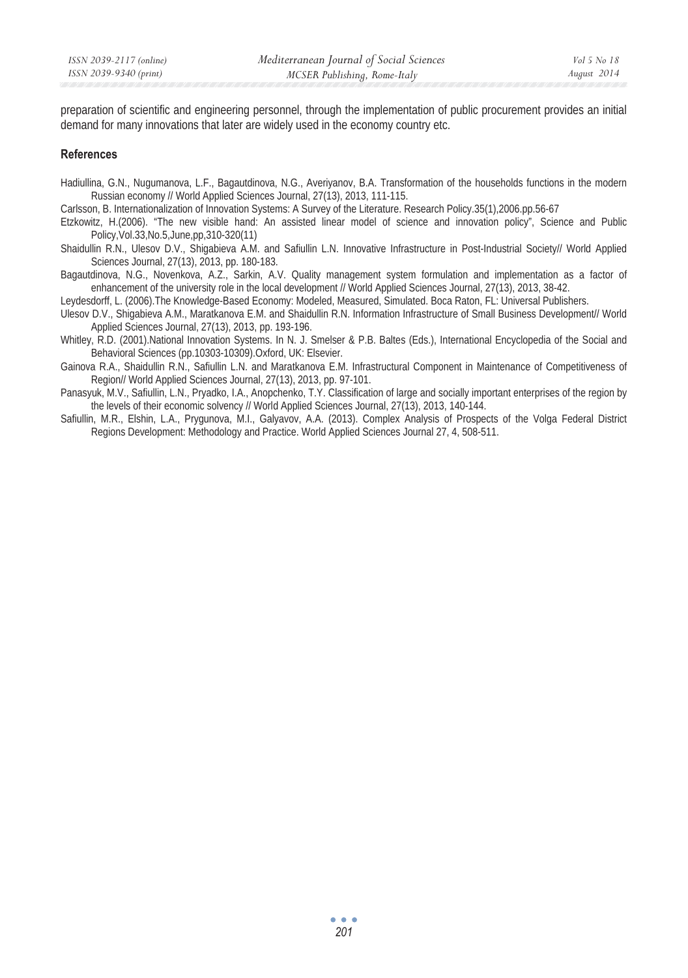preparation of scientific and engineering personnel, through the implementation of public procurement provides an initial demand for many innovations that later are widely used in the economy country etc.

#### **References**

- Hadiullina, G.N., Nugumanova, L.F., Bagautdinova, N.G., Averiyanov, B.A. Transformation of the households functions in the modern Russian economy // World Applied Sciences Journal, 27(13), 2013, 111-115.
- Carlsson, B. Internationalization of Innovation Systems: A Survey of the Literature. Research Policy.35(1),2006.pp.56-67
- Etzkowitz, H.(2006). "The new visible hand: An assisted linear model of science and innovation policy", Science and Public Policy,Vol.33,No.5,June,pp,310-320(11)
- Shaidullin R.N., Ulesov D.V., Shigabieva A.M. and Safiullin L.N. Innovative Infrastructure in Post-Industrial Society// World Applied Sciences Journal, 27(13), 2013, pp. 180-183.
- Bagautdinova, N.G., Novenkova, A.Z., Sarkin, A.V. Quality management system formulation and implementation as a factor of enhancement of the university role in the local development // World Applied Sciences Journal, 27(13), 2013, 38-42.
- Leydesdorff, L. (2006).The Knowledge-Based Economy: Modeled, Measured, Simulated. Boca Raton, FL: Universal Publishers.
- Ulesov D.V., Shigabieva A.M., Maratkanova E.M. and Shaidullin R.N. Information Infrastructure of Small Business Development// World Applied Sciences Journal, 27(13), 2013, pp. 193-196.
- Whitley, R.D. (2001).National Innovation Systems. In N. J. Smelser & P.B. Baltes (Eds.), International Encyclopedia of the Social and Behavioral Sciences (pp.10303-10309).Oxford, UK: Elsevier.
- Gainova R.A., Shaidullin R.N., Safiullin L.N. and Maratkanova E.M. Infrastructural Component in Maintenance of Competitiveness of Region// World Applied Sciences Journal, 27(13), 2013, pp. 97-101.
- Panasyuk, M.V., Safiullin, L.N., Pryadko, I.A., Anopchenko, T.Y. Classification of large and socially important enterprises of the region by the levels of their economic solvency // World Applied Sciences Journal, 27(13), 2013, 140-144.
- Safiullin, M.R., Elshin, L.A., Prygunova, M.I., Galyavov, A.A. (2013). Complex Analysis of Prospects of the Volga Federal District Regions Development: Methodology and Practice. World Applied Sciences Journal 27, 4, 508-511.